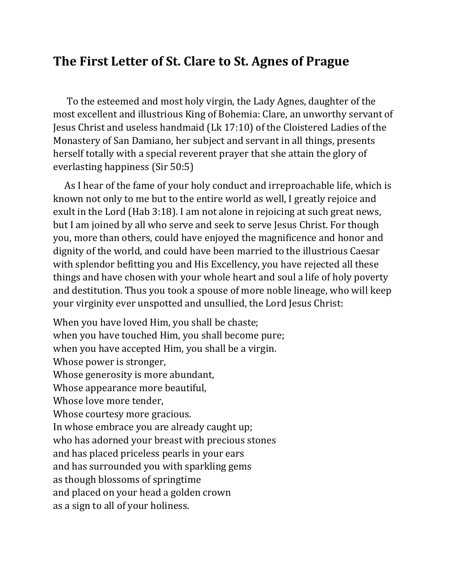## **The First Letter of St. Clare to St. Agnes of Prague**

 To the esteemed and most holy virgin, the Lady Agnes, daughter of the most excellent and illustrious King of Bohemia: Clare, an unworthy servant of Jesus Christ and useless handmaid (Lk 17:10) of the Cloistered Ladies of the Monastery of San Damiano, her subject and servant in all things, presents herself totally with a special reverent prayer that she attain the glory of everlasting happiness (Sir 50:5)

 As I hear of the fame of your holy conduct and irreproachable life, which is known not only to me but to the entire world as well, I greatly rejoice and exult in the Lord (Hab 3:18). I am not alone in rejoicing at such great news, but I am joined by all who serve and seek to serve Jesus Christ. For though you, more than others, could have enjoyed the magnificence and honor and dignity of the world, and could have been married to the illustrious Caesar with splendor befitting you and His Excellency, you have rejected all these things and have chosen with your whole heart and soul a life of holy poverty and destitution. Thus you took a spouse of more noble lineage, who will keep your virginity ever unspotted and unsullied, the Lord Jesus Christ:

When you have loved Him, you shall be chaste; when you have touched Him, you shall become pure; when you have accepted Him, you shall be a virgin. Whose power is stronger, Whose generosity is more abundant, Whose appearance more beautiful, Whose love more tender, Whose courtesy more gracious. In whose embrace you are already caught up; who has adorned your breast with precious stones and has placed priceless pearls in your ears and has surrounded you with sparkling gems as though blossoms of springtime and placed on your head a golden crown as a sign to all of your holiness.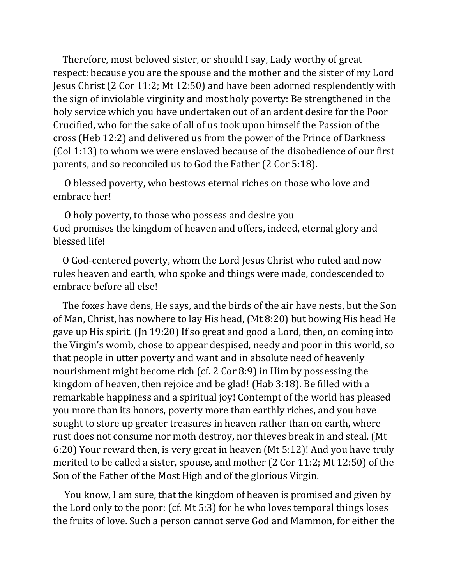Therefore, most beloved sister, or should I say, Lady worthy of great respect: because you are the spouse and the mother and the sister of my Lord Jesus Christ (2 Cor 11:2; Mt 12:50) and have been adorned resplendently with the sign of inviolable virginity and most holy poverty: Be strengthened in the holy service which you have undertaken out of an ardent desire for the Poor Crucified, who for the sake of all of us took upon himself the Passion of the cross (Heb 12:2) and delivered us from the power of the Prince of Darkness (Col 1:13) to whom we were enslaved because of the disobedience of our first parents, and so reconciled us to God the Father (2 Cor 5:18).

 O blessed poverty, who bestows eternal riches on those who love and embrace her!

 O holy poverty, to those who possess and desire you God promises the kingdom of heaven and offers, indeed, eternal glory and blessed life!

 O God-centered poverty, whom the Lord Jesus Christ who ruled and now rules heaven and earth, who spoke and things were made, condescended to embrace before all else!

 The foxes have dens, He says, and the birds of the air have nests, but the Son of Man, Christ, has nowhere to lay His head, (Mt 8:20) but bowing His head He gave up His spirit. (Jn 19:20) If so great and good a Lord, then, on coming into the Virgin's womb, chose to appear despised, needy and poor in this world, so that people in utter poverty and want and in absolute need of heavenly nourishment might become rich (cf. 2 Cor 8:9) in Him by possessing the kingdom of heaven, then rejoice and be glad! (Hab 3:18). Be filled with a remarkable happiness and a spiritual joy! Contempt of the world has pleased you more than its honors, poverty more than earthly riches, and you have sought to store up greater treasures in heaven rather than on earth, where rust does not consume nor moth destroy, nor thieves break in and steal. (Mt 6:20) Your reward then, is very great in heaven (Mt 5:12)! And you have truly merited to be called a sister, spouse, and mother (2 Cor 11:2; Mt 12:50) of the Son of the Father of the Most High and of the glorious Virgin.

 You know, I am sure, that the kingdom of heaven is promised and given by the Lord only to the poor: (cf. Mt 5:3) for he who loves temporal things loses the fruits of love. Such a person cannot serve God and Mammon, for either the